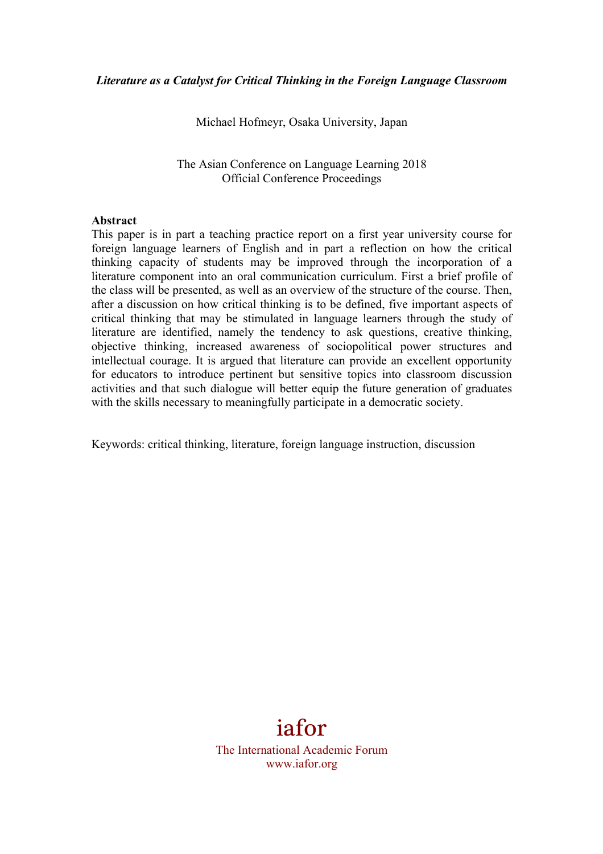Michael Hofmeyr, Osaka University, Japan

The Asian Conference on Language Learning 2018 Official Conference Proceedings

#### **Abstract**

This paper is in part a teaching practice report on a first year university course for foreign language learners of English and in part a reflection on how the critical thinking capacity of students may be improved through the incorporation of a literature component into an oral communication curriculum. First a brief profile of the class will be presented, as well as an overview of the structure of the course. Then, after a discussion on how critical thinking is to be defined, five important aspects of critical thinking that may be stimulated in language learners through the study of literature are identified, namely the tendency to ask questions, creative thinking, objective thinking, increased awareness of sociopolitical power structures and intellectual courage. It is argued that literature can provide an excellent opportunity for educators to introduce pertinent but sensitive topics into classroom discussion activities and that such dialogue will better equip the future generation of graduates with the skills necessary to meaningfully participate in a democratic society.

Keywords: critical thinking, literature, foreign language instruction, discussion

# iafor

The International Academic Forum www.iafor.org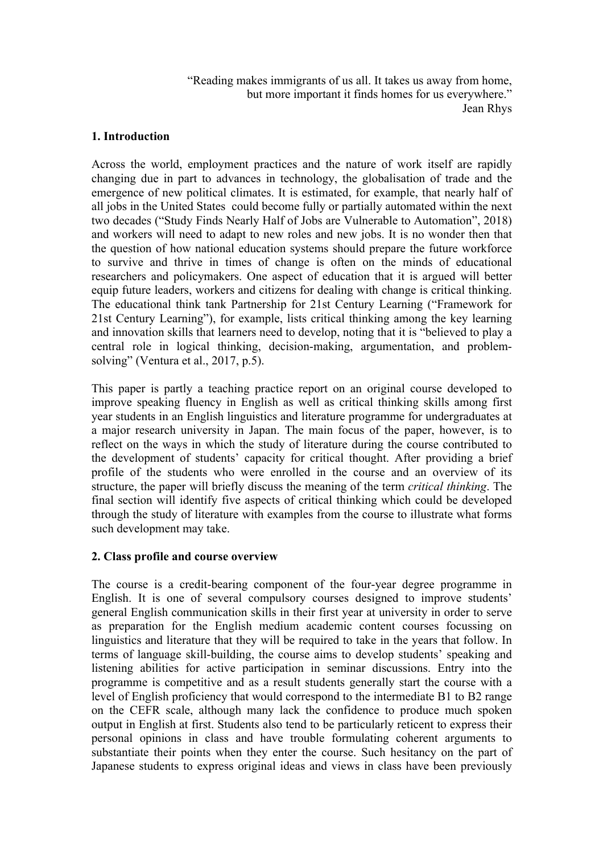"Reading makes immigrants of us all. It takes us away from home, but more important it finds homes for us everywhere." Jean Rhys

# **1. Introduction**

Across the world, employment practices and the nature of work itself are rapidly changing due in part to advances in technology, the globalisation of trade and the emergence of new political climates. It is estimated, for example, that nearly half of all jobs in the United States could become fully or partially automated within the next two decades ("Study Finds Nearly Half of Jobs are Vulnerable to Automation", 2018) and workers will need to adapt to new roles and new jobs. It is no wonder then that the question of how national education systems should prepare the future workforce to survive and thrive in times of change is often on the minds of educational researchers and policymakers. One aspect of education that it is argued will better equip future leaders, workers and citizens for dealing with change is critical thinking. The educational think tank Partnership for 21st Century Learning ("Framework for 21st Century Learning"), for example, lists critical thinking among the key learning and innovation skills that learners need to develop, noting that it is "believed to play a central role in logical thinking, decision-making, argumentation, and problemsolving" (Ventura et al., 2017, p.5).

This paper is partly a teaching practice report on an original course developed to improve speaking fluency in English as well as critical thinking skills among first year students in an English linguistics and literature programme for undergraduates at a major research university in Japan. The main focus of the paper, however, is to reflect on the ways in which the study of literature during the course contributed to the development of students' capacity for critical thought. After providing a brief profile of the students who were enrolled in the course and an overview of its structure, the paper will briefly discuss the meaning of the term *critical thinking*. The final section will identify five aspects of critical thinking which could be developed through the study of literature with examples from the course to illustrate what forms such development may take.

# **2. Class profile and course overview**

The course is a credit-bearing component of the four-year degree programme in English. It is one of several compulsory courses designed to improve students' general English communication skills in their first year at university in order to serve as preparation for the English medium academic content courses focussing on linguistics and literature that they will be required to take in the years that follow. In terms of language skill-building, the course aims to develop students' speaking and listening abilities for active participation in seminar discussions. Entry into the programme is competitive and as a result students generally start the course with a level of English proficiency that would correspond to the intermediate B1 to B2 range on the CEFR scale, although many lack the confidence to produce much spoken output in English at first. Students also tend to be particularly reticent to express their personal opinions in class and have trouble formulating coherent arguments to substantiate their points when they enter the course. Such hesitancy on the part of Japanese students to express original ideas and views in class have been previously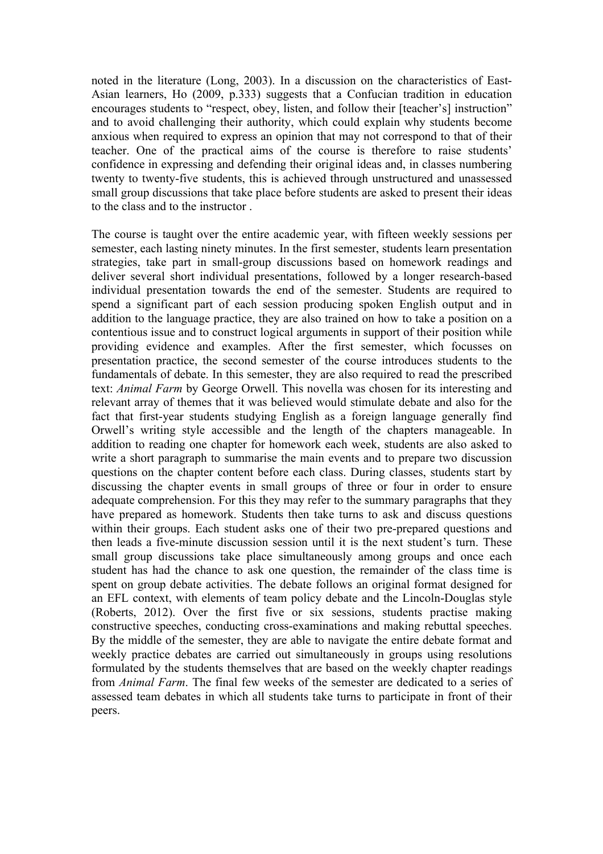noted in the literature (Long, 2003). In a discussion on the characteristics of East-Asian learners, Ho (2009, p.333) suggests that a Confucian tradition in education encourages students to "respect, obey, listen, and follow their [teacher's] instruction" and to avoid challenging their authority, which could explain why students become anxious when required to express an opinion that may not correspond to that of their teacher. One of the practical aims of the course is therefore to raise students' confidence in expressing and defending their original ideas and, in classes numbering twenty to twenty-five students, this is achieved through unstructured and unassessed small group discussions that take place before students are asked to present their ideas to the class and to the instructor .

The course is taught over the entire academic year, with fifteen weekly sessions per semester, each lasting ninety minutes. In the first semester, students learn presentation strategies, take part in small-group discussions based on homework readings and deliver several short individual presentations, followed by a longer research-based individual presentation towards the end of the semester. Students are required to spend a significant part of each session producing spoken English output and in addition to the language practice, they are also trained on how to take a position on a contentious issue and to construct logical arguments in support of their position while providing evidence and examples. After the first semester, which focusses on presentation practice, the second semester of the course introduces students to the fundamentals of debate. In this semester, they are also required to read the prescribed text: *Animal Farm* by George Orwell. This novella was chosen for its interesting and relevant array of themes that it was believed would stimulate debate and also for the fact that first-year students studying English as a foreign language generally find Orwell's writing style accessible and the length of the chapters manageable. In addition to reading one chapter for homework each week, students are also asked to write a short paragraph to summarise the main events and to prepare two discussion questions on the chapter content before each class. During classes, students start by discussing the chapter events in small groups of three or four in order to ensure adequate comprehension. For this they may refer to the summary paragraphs that they have prepared as homework. Students then take turns to ask and discuss questions within their groups. Each student asks one of their two pre-prepared questions and then leads a five-minute discussion session until it is the next student's turn. These small group discussions take place simultaneously among groups and once each student has had the chance to ask one question, the remainder of the class time is spent on group debate activities. The debate follows an original format designed for an EFL context, with elements of team policy debate and the Lincoln-Douglas style (Roberts, 2012). Over the first five or six sessions, students practise making constructive speeches, conducting cross-examinations and making rebuttal speeches. By the middle of the semester, they are able to navigate the entire debate format and weekly practice debates are carried out simultaneously in groups using resolutions formulated by the students themselves that are based on the weekly chapter readings from *Animal Farm*. The final few weeks of the semester are dedicated to a series of assessed team debates in which all students take turns to participate in front of their peers.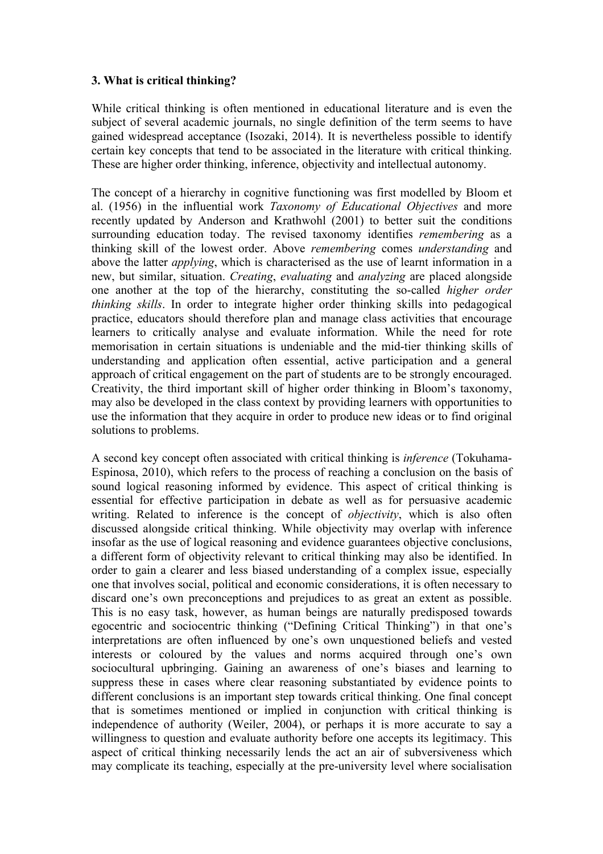# **3. What is critical thinking?**

While critical thinking is often mentioned in educational literature and is even the subject of several academic journals, no single definition of the term seems to have gained widespread acceptance (Isozaki, 2014). It is nevertheless possible to identify certain key concepts that tend to be associated in the literature with critical thinking. These are higher order thinking, inference, objectivity and intellectual autonomy.

The concept of a hierarchy in cognitive functioning was first modelled by Bloom et al. (1956) in the influential work *Taxonomy of Educational Objectives* and more recently updated by Anderson and Krathwohl (2001) to better suit the conditions surrounding education today. The revised taxonomy identifies *remembering* as a thinking skill of the lowest order. Above *remembering* comes *understanding* and above the latter *applying*, which is characterised as the use of learnt information in a new, but similar, situation. *Creating*, *evaluating* and *analyzing* are placed alongside one another at the top of the hierarchy, constituting the so-called *higher order thinking skills*. In order to integrate higher order thinking skills into pedagogical practice, educators should therefore plan and manage class activities that encourage learners to critically analyse and evaluate information. While the need for rote memorisation in certain situations is undeniable and the mid-tier thinking skills of understanding and application often essential, active participation and a general approach of critical engagement on the part of students are to be strongly encouraged. Creativity, the third important skill of higher order thinking in Bloom's taxonomy, may also be developed in the class context by providing learners with opportunities to use the information that they acquire in order to produce new ideas or to find original solutions to problems.

A second key concept often associated with critical thinking is *inference* (Tokuhama-Espinosa, 2010), which refers to the process of reaching a conclusion on the basis of sound logical reasoning informed by evidence. This aspect of critical thinking is essential for effective participation in debate as well as for persuasive academic writing. Related to inference is the concept of *objectivity*, which is also often discussed alongside critical thinking. While objectivity may overlap with inference insofar as the use of logical reasoning and evidence guarantees objective conclusions, a different form of objectivity relevant to critical thinking may also be identified. In order to gain a clearer and less biased understanding of a complex issue, especially one that involves social, political and economic considerations, it is often necessary to discard one's own preconceptions and prejudices to as great an extent as possible. This is no easy task, however, as human beings are naturally predisposed towards egocentric and sociocentric thinking ("Defining Critical Thinking") in that one's interpretations are often influenced by one's own unquestioned beliefs and vested interests or coloured by the values and norms acquired through one's own sociocultural upbringing. Gaining an awareness of one's biases and learning to suppress these in cases where clear reasoning substantiated by evidence points to different conclusions is an important step towards critical thinking. One final concept that is sometimes mentioned or implied in conjunction with critical thinking is independence of authority (Weiler, 2004), or perhaps it is more accurate to say a willingness to question and evaluate authority before one accepts its legitimacy. This aspect of critical thinking necessarily lends the act an air of subversiveness which may complicate its teaching, especially at the pre-university level where socialisation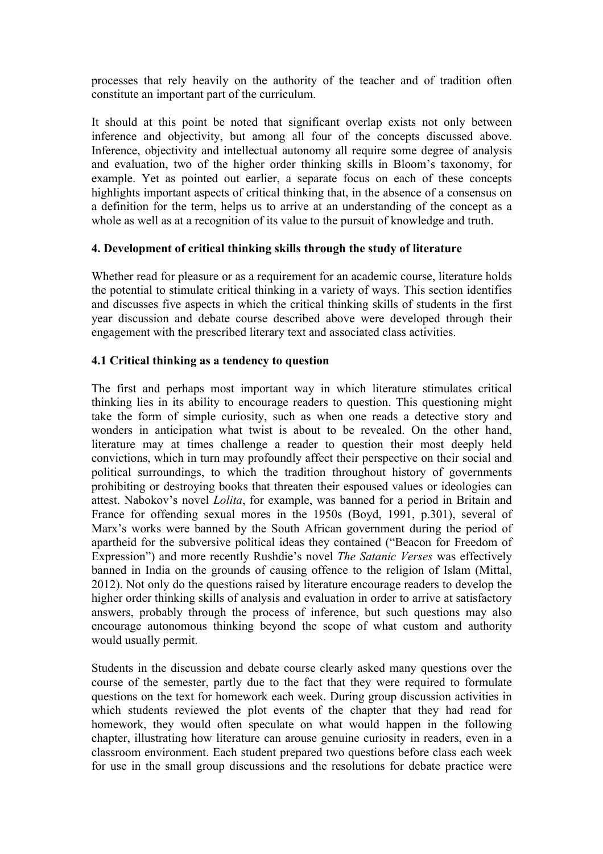processes that rely heavily on the authority of the teacher and of tradition often constitute an important part of the curriculum.

It should at this point be noted that significant overlap exists not only between inference and objectivity, but among all four of the concepts discussed above. Inference, objectivity and intellectual autonomy all require some degree of analysis and evaluation, two of the higher order thinking skills in Bloom's taxonomy, for example. Yet as pointed out earlier, a separate focus on each of these concepts highlights important aspects of critical thinking that, in the absence of a consensus on a definition for the term, helps us to arrive at an understanding of the concept as a whole as well as at a recognition of its value to the pursuit of knowledge and truth.

## **4. Development of critical thinking skills through the study of literature**

Whether read for pleasure or as a requirement for an academic course, literature holds the potential to stimulate critical thinking in a variety of ways. This section identifies and discusses five aspects in which the critical thinking skills of students in the first year discussion and debate course described above were developed through their engagement with the prescribed literary text and associated class activities.

# **4.1 Critical thinking as a tendency to question**

The first and perhaps most important way in which literature stimulates critical thinking lies in its ability to encourage readers to question. This questioning might take the form of simple curiosity, such as when one reads a detective story and wonders in anticipation what twist is about to be revealed. On the other hand, literature may at times challenge a reader to question their most deeply held convictions, which in turn may profoundly affect their perspective on their social and political surroundings, to which the tradition throughout history of governments prohibiting or destroying books that threaten their espoused values or ideologies can attest. Nabokov's novel *Lolita*, for example, was banned for a period in Britain and France for offending sexual mores in the 1950s (Boyd, 1991, p.301), several of Marx's works were banned by the South African government during the period of apartheid for the subversive political ideas they contained ("Beacon for Freedom of Expression") and more recently Rushdie's novel *The Satanic Verses* was effectively banned in India on the grounds of causing offence to the religion of Islam (Mittal, 2012). Not only do the questions raised by literature encourage readers to develop the higher order thinking skills of analysis and evaluation in order to arrive at satisfactory answers, probably through the process of inference, but such questions may also encourage autonomous thinking beyond the scope of what custom and authority would usually permit.

Students in the discussion and debate course clearly asked many questions over the course of the semester, partly due to the fact that they were required to formulate questions on the text for homework each week. During group discussion activities in which students reviewed the plot events of the chapter that they had read for homework, they would often speculate on what would happen in the following chapter, illustrating how literature can arouse genuine curiosity in readers, even in a classroom environment. Each student prepared two questions before class each week for use in the small group discussions and the resolutions for debate practice were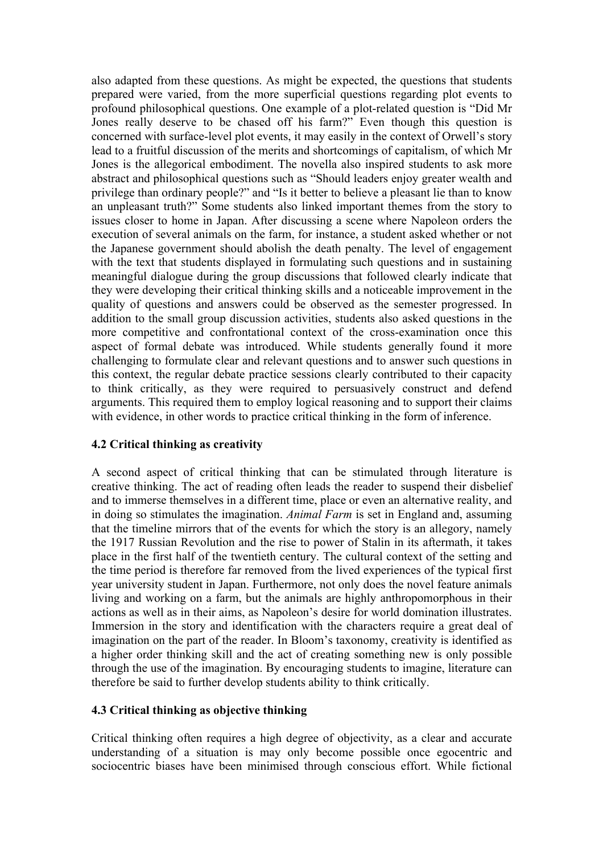also adapted from these questions. As might be expected, the questions that students prepared were varied, from the more superficial questions regarding plot events to profound philosophical questions. One example of a plot-related question is "Did Mr Jones really deserve to be chased off his farm?" Even though this question is concerned with surface-level plot events, it may easily in the context of Orwell's story lead to a fruitful discussion of the merits and shortcomings of capitalism, of which Mr Jones is the allegorical embodiment. The novella also inspired students to ask more abstract and philosophical questions such as "Should leaders enjoy greater wealth and privilege than ordinary people?" and "Is it better to believe a pleasant lie than to know an unpleasant truth?" Some students also linked important themes from the story to issues closer to home in Japan. After discussing a scene where Napoleon orders the execution of several animals on the farm, for instance, a student asked whether or not the Japanese government should abolish the death penalty. The level of engagement with the text that students displayed in formulating such questions and in sustaining meaningful dialogue during the group discussions that followed clearly indicate that they were developing their critical thinking skills and a noticeable improvement in the quality of questions and answers could be observed as the semester progressed. In addition to the small group discussion activities, students also asked questions in the more competitive and confrontational context of the cross-examination once this aspect of formal debate was introduced. While students generally found it more challenging to formulate clear and relevant questions and to answer such questions in this context, the regular debate practice sessions clearly contributed to their capacity to think critically, as they were required to persuasively construct and defend arguments. This required them to employ logical reasoning and to support their claims with evidence, in other words to practice critical thinking in the form of inference.

#### **4.2 Critical thinking as creativity**

A second aspect of critical thinking that can be stimulated through literature is creative thinking. The act of reading often leads the reader to suspend their disbelief and to immerse themselves in a different time, place or even an alternative reality, and in doing so stimulates the imagination. *Animal Farm* is set in England and, assuming that the timeline mirrors that of the events for which the story is an allegory, namely the 1917 Russian Revolution and the rise to power of Stalin in its aftermath, it takes place in the first half of the twentieth century. The cultural context of the setting and the time period is therefore far removed from the lived experiences of the typical first year university student in Japan. Furthermore, not only does the novel feature animals living and working on a farm, but the animals are highly anthropomorphous in their actions as well as in their aims, as Napoleon's desire for world domination illustrates. Immersion in the story and identification with the characters require a great deal of imagination on the part of the reader. In Bloom's taxonomy, creativity is identified as a higher order thinking skill and the act of creating something new is only possible through the use of the imagination. By encouraging students to imagine, literature can therefore be said to further develop students ability to think critically.

#### **4.3 Critical thinking as objective thinking**

Critical thinking often requires a high degree of objectivity, as a clear and accurate understanding of a situation is may only become possible once egocentric and sociocentric biases have been minimised through conscious effort. While fictional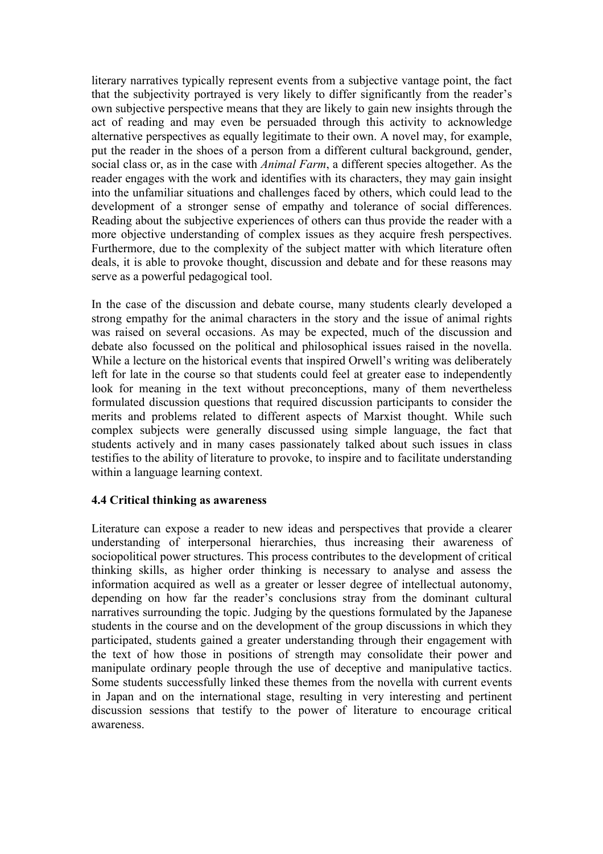literary narratives typically represent events from a subjective vantage point, the fact that the subjectivity portrayed is very likely to differ significantly from the reader's own subjective perspective means that they are likely to gain new insights through the act of reading and may even be persuaded through this activity to acknowledge alternative perspectives as equally legitimate to their own. A novel may, for example, put the reader in the shoes of a person from a different cultural background, gender, social class or, as in the case with *Animal Farm*, a different species altogether. As the reader engages with the work and identifies with its characters, they may gain insight into the unfamiliar situations and challenges faced by others, which could lead to the development of a stronger sense of empathy and tolerance of social differences. Reading about the subjective experiences of others can thus provide the reader with a more objective understanding of complex issues as they acquire fresh perspectives. Furthermore, due to the complexity of the subject matter with which literature often deals, it is able to provoke thought, discussion and debate and for these reasons may serve as a powerful pedagogical tool.

In the case of the discussion and debate course, many students clearly developed a strong empathy for the animal characters in the story and the issue of animal rights was raised on several occasions. As may be expected, much of the discussion and debate also focussed on the political and philosophical issues raised in the novella. While a lecture on the historical events that inspired Orwell's writing was deliberately left for late in the course so that students could feel at greater ease to independently look for meaning in the text without preconceptions, many of them nevertheless formulated discussion questions that required discussion participants to consider the merits and problems related to different aspects of Marxist thought. While such complex subjects were generally discussed using simple language, the fact that students actively and in many cases passionately talked about such issues in class testifies to the ability of literature to provoke, to inspire and to facilitate understanding within a language learning context.

#### **4.4 Critical thinking as awareness**

Literature can expose a reader to new ideas and perspectives that provide a clearer understanding of interpersonal hierarchies, thus increasing their awareness of sociopolitical power structures. This process contributes to the development of critical thinking skills, as higher order thinking is necessary to analyse and assess the information acquired as well as a greater or lesser degree of intellectual autonomy, depending on how far the reader's conclusions stray from the dominant cultural narratives surrounding the topic. Judging by the questions formulated by the Japanese students in the course and on the development of the group discussions in which they participated, students gained a greater understanding through their engagement with the text of how those in positions of strength may consolidate their power and manipulate ordinary people through the use of deceptive and manipulative tactics. Some students successfully linked these themes from the novella with current events in Japan and on the international stage, resulting in very interesting and pertinent discussion sessions that testify to the power of literature to encourage critical awareness.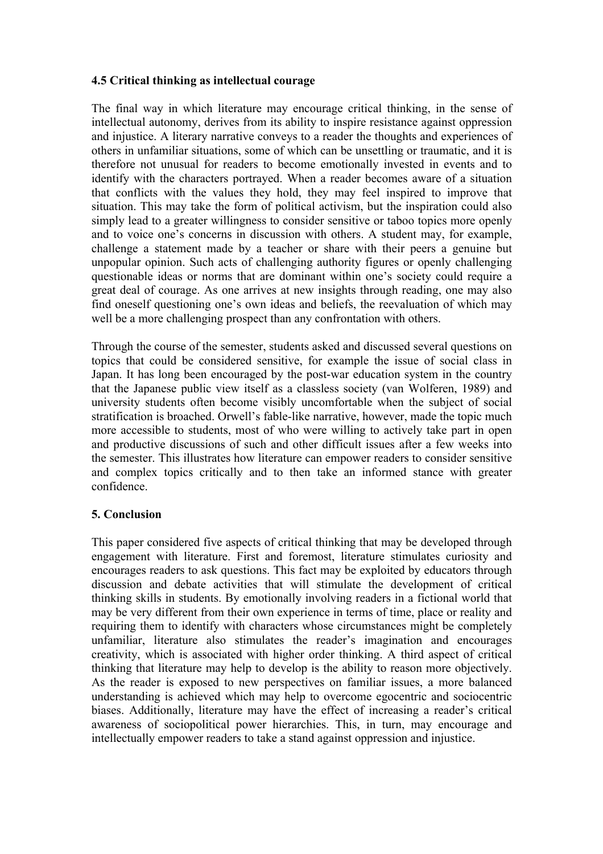## **4.5 Critical thinking as intellectual courage**

The final way in which literature may encourage critical thinking, in the sense of intellectual autonomy, derives from its ability to inspire resistance against oppression and injustice. A literary narrative conveys to a reader the thoughts and experiences of others in unfamiliar situations, some of which can be unsettling or traumatic, and it is therefore not unusual for readers to become emotionally invested in events and to identify with the characters portrayed. When a reader becomes aware of a situation that conflicts with the values they hold, they may feel inspired to improve that situation. This may take the form of political activism, but the inspiration could also simply lead to a greater willingness to consider sensitive or taboo topics more openly and to voice one's concerns in discussion with others. A student may, for example, challenge a statement made by a teacher or share with their peers a genuine but unpopular opinion. Such acts of challenging authority figures or openly challenging questionable ideas or norms that are dominant within one's society could require a great deal of courage. As one arrives at new insights through reading, one may also find oneself questioning one's own ideas and beliefs, the reevaluation of which may well be a more challenging prospect than any confrontation with others.

Through the course of the semester, students asked and discussed several questions on topics that could be considered sensitive, for example the issue of social class in Japan. It has long been encouraged by the post-war education system in the country that the Japanese public view itself as a classless society (van Wolferen, 1989) and university students often become visibly uncomfortable when the subject of social stratification is broached. Orwell's fable-like narrative, however, made the topic much more accessible to students, most of who were willing to actively take part in open and productive discussions of such and other difficult issues after a few weeks into the semester. This illustrates how literature can empower readers to consider sensitive and complex topics critically and to then take an informed stance with greater confidence.

# **5. Conclusion**

This paper considered five aspects of critical thinking that may be developed through engagement with literature. First and foremost, literature stimulates curiosity and encourages readers to ask questions. This fact may be exploited by educators through discussion and debate activities that will stimulate the development of critical thinking skills in students. By emotionally involving readers in a fictional world that may be very different from their own experience in terms of time, place or reality and requiring them to identify with characters whose circumstances might be completely unfamiliar, literature also stimulates the reader's imagination and encourages creativity, which is associated with higher order thinking. A third aspect of critical thinking that literature may help to develop is the ability to reason more objectively. As the reader is exposed to new perspectives on familiar issues, a more balanced understanding is achieved which may help to overcome egocentric and sociocentric biases. Additionally, literature may have the effect of increasing a reader's critical awareness of sociopolitical power hierarchies. This, in turn, may encourage and intellectually empower readers to take a stand against oppression and injustice.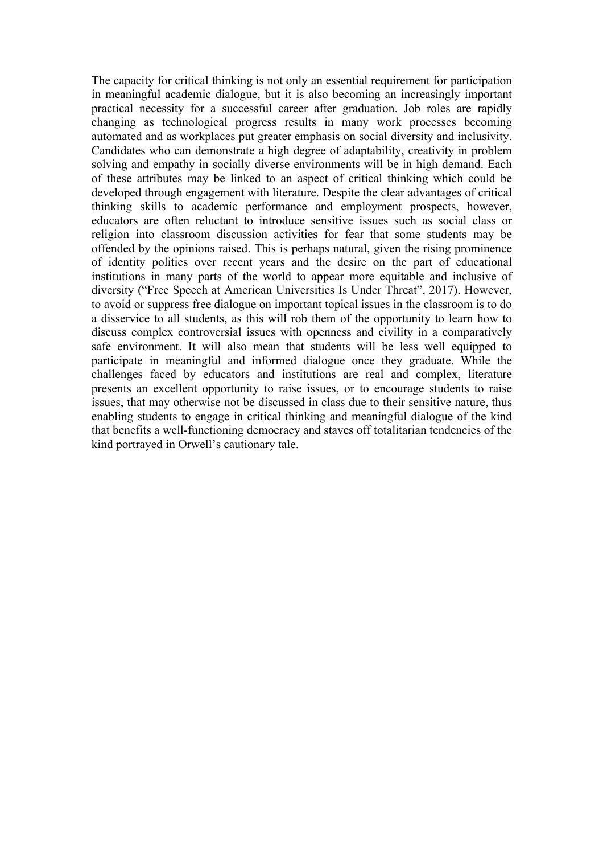The capacity for critical thinking is not only an essential requirement for participation in meaningful academic dialogue, but it is also becoming an increasingly important practical necessity for a successful career after graduation. Job roles are rapidly changing as technological progress results in many work processes becoming automated and as workplaces put greater emphasis on social diversity and inclusivity. Candidates who can demonstrate a high degree of adaptability, creativity in problem solving and empathy in socially diverse environments will be in high demand. Each of these attributes may be linked to an aspect of critical thinking which could be developed through engagement with literature. Despite the clear advantages of critical thinking skills to academic performance and employment prospects, however, educators are often reluctant to introduce sensitive issues such as social class or religion into classroom discussion activities for fear that some students may be offended by the opinions raised. This is perhaps natural, given the rising prominence of identity politics over recent years and the desire on the part of educational institutions in many parts of the world to appear more equitable and inclusive of diversity ("Free Speech at American Universities Is Under Threat", 2017). However, to avoid or suppress free dialogue on important topical issues in the classroom is to do a disservice to all students, as this will rob them of the opportunity to learn how to discuss complex controversial issues with openness and civility in a comparatively safe environment. It will also mean that students will be less well equipped to participate in meaningful and informed dialogue once they graduate. While the challenges faced by educators and institutions are real and complex, literature presents an excellent opportunity to raise issues, or to encourage students to raise issues, that may otherwise not be discussed in class due to their sensitive nature, thus enabling students to engage in critical thinking and meaningful dialogue of the kind that benefits a well-functioning democracy and staves off totalitarian tendencies of the kind portrayed in Orwell's cautionary tale.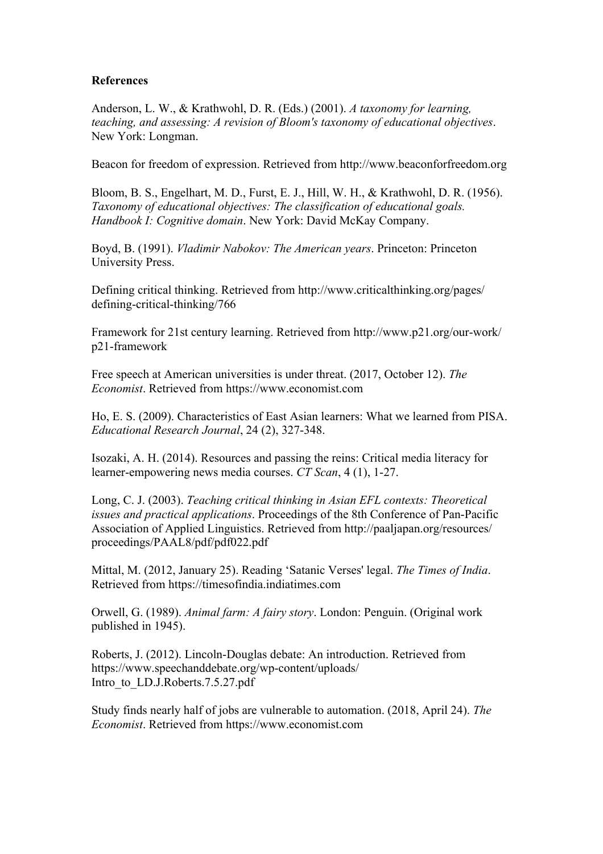## **References**

Anderson, L. W., & Krathwohl, D. R. (Eds.) (2001). *A taxonomy for learning, teaching, and assessing: A revision of Bloom's taxonomy of educational objectives*. New York: Longman.

Beacon for freedom of expression. Retrieved from http://www.beaconforfreedom.org

Bloom, B. S., Engelhart, M. D., Furst, E. J., Hill, W. H., & Krathwohl, D. R. (1956). *Taxonomy of educational objectives: The classification of educational goals. Handbook I: Cognitive domain*. New York: David McKay Company.

Boyd, B. (1991). *Vladimir Nabokov: The American years*. Princeton: Princeton University Press.

Defining critical thinking. Retrieved from http://www.criticalthinking.org/pages/ defining-critical-thinking/766

Framework for 21st century learning. Retrieved from http://www.p21.org/our-work/ p21-framework

Free speech at American universities is under threat. (2017, October 12). *The Economist*. Retrieved from https://www.economist.com

Ho, E. S. (2009). Characteristics of East Asian learners: What we learned from PISA. *Educational Research Journal*, 24 (2), 327-348.

Isozaki, A. H. (2014). Resources and passing the reins: Critical media literacy for learner-empowering news media courses. *CT Scan*, 4 (1), 1-27.

Long, C. J. (2003). *Teaching critical thinking in Asian EFL contexts: Theoretical issues and practical applications*. Proceedings of the 8th Conference of Pan-Pacific Association of Applied Linguistics. Retrieved from http://paaljapan.org/resources/ proceedings/PAAL8/pdf/pdf022.pdf

Mittal, M. (2012, January 25). Reading 'Satanic Verses' legal. *The Times of India*. Retrieved from https://timesofindia.indiatimes.com

Orwell, G. (1989). *Animal farm: A fairy story*. London: Penguin. (Original work published in 1945).

Roberts, J. (2012). Lincoln-Douglas debate: An introduction. Retrieved from https://www.speechanddebate.org/wp-content/uploads/ Intro\_to\_LD.J.Roberts.7.5.27.pdf

Study finds nearly half of jobs are vulnerable to automation. (2018, April 24). *The Economist*. Retrieved from https://www.economist.com